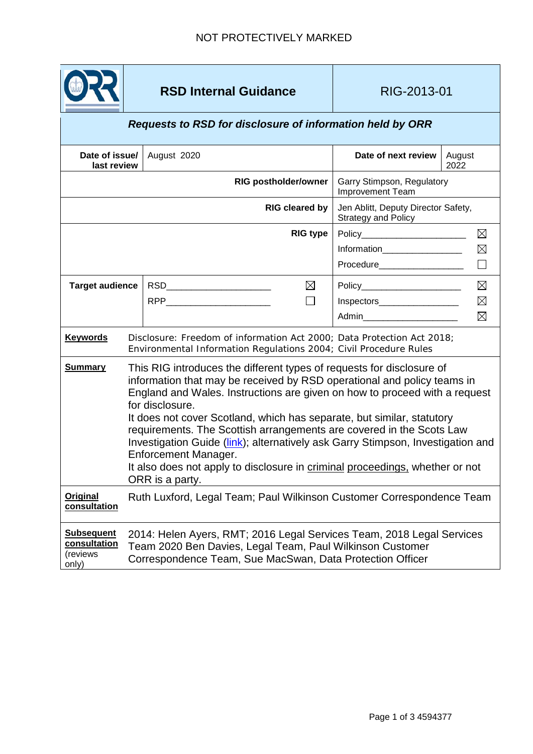

## **RSD Internal Guidance RIG-2013-01**

## *Requests to RSD for disclosure of information held by ORR*

| Date of issue/                                         |                                                                                                                                                                                                                                                                                                                                                                                                                                                                                                                                                                                                                   | August 2020                                  | Date of next review                                        | August      |
|--------------------------------------------------------|-------------------------------------------------------------------------------------------------------------------------------------------------------------------------------------------------------------------------------------------------------------------------------------------------------------------------------------------------------------------------------------------------------------------------------------------------------------------------------------------------------------------------------------------------------------------------------------------------------------------|----------------------------------------------|------------------------------------------------------------|-------------|
| last review                                            |                                                                                                                                                                                                                                                                                                                                                                                                                                                                                                                                                                                                                   |                                              |                                                            | 2022        |
| <b>RIG postholder/owner</b>                            |                                                                                                                                                                                                                                                                                                                                                                                                                                                                                                                                                                                                                   |                                              | Garry Stimpson, Regulatory<br><b>Improvement Team</b>      |             |
| <b>RIG cleared by</b>                                  |                                                                                                                                                                                                                                                                                                                                                                                                                                                                                                                                                                                                                   |                                              | Jen Ablitt, Deputy Director Safety,<br>Strategy and Policy |             |
|                                                        |                                                                                                                                                                                                                                                                                                                                                                                                                                                                                                                                                                                                                   | <b>RIG type</b>                              | Policy_________________________                            | $\boxtimes$ |
|                                                        |                                                                                                                                                                                                                                                                                                                                                                                                                                                                                                                                                                                                                   |                                              | Information___________________                             | $\boxtimes$ |
|                                                        |                                                                                                                                                                                                                                                                                                                                                                                                                                                                                                                                                                                                                   |                                              | Procedure____________________                              | $\Box$      |
| <b>Target audience</b>                                 |                                                                                                                                                                                                                                                                                                                                                                                                                                                                                                                                                                                                                   | $\boxtimes$<br>RSD__________________________ | Policy_________________________                            | $\boxtimes$ |
|                                                        |                                                                                                                                                                                                                                                                                                                                                                                                                                                                                                                                                                                                                   | RPP ________________________<br>П            | Inspectors___________________                              | $\boxtimes$ |
|                                                        |                                                                                                                                                                                                                                                                                                                                                                                                                                                                                                                                                                                                                   |                                              | Admin_________________________                             | $\boxtimes$ |
| <b>Keywords</b>                                        | Disclosure: Freedom of information Act 2000; Data Protection Act 2018;<br>Environmental Information Regulations 2004; Civil Procedure Rules                                                                                                                                                                                                                                                                                                                                                                                                                                                                       |                                              |                                                            |             |
| <b>Summary</b>                                         | This RIG introduces the different types of requests for disclosure of<br>information that may be received by RSD operational and policy teams in<br>England and Wales. Instructions are given on how to proceed with a request<br>for disclosure.<br>It does not cover Scotland, which has separate, but similar, statutory<br>requirements. The Scottish arrangements are covered in the Scots Law<br>Investigation Guide (link); alternatively ask Garry Stimpson, Investigation and<br>Enforcement Manager.<br>It also does not apply to disclosure in criminal proceedings, whether or not<br>ORR is a party. |                                              |                                                            |             |
| <b>Original</b><br>consultation                        | Ruth Luxford, Legal Team; Paul Wilkinson Customer Correspondence Team                                                                                                                                                                                                                                                                                                                                                                                                                                                                                                                                             |                                              |                                                            |             |
| <b>Subsequent</b><br>consultation<br>(reviews<br>only) | 2014: Helen Ayers, RMT; 2016 Legal Services Team, 2018 Legal Services<br>Team 2020 Ben Davies, Legal Team, Paul Wilkinson Customer<br>Correspondence Team, Sue MacSwan, Data Protection Officer                                                                                                                                                                                                                                                                                                                                                                                                                   |                                              |                                                            |             |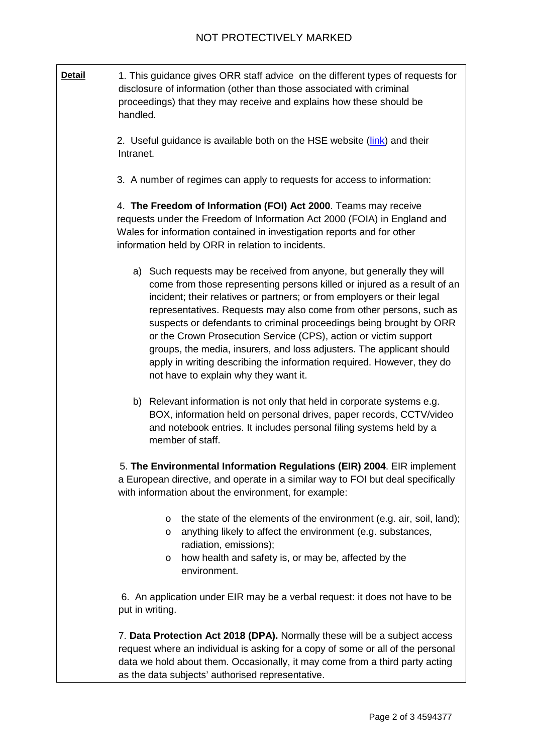**Detail** 1. This quidance gives ORR staff advice on the different types of requests for disclosure of information (other than those associated with criminal proceedings) that they may receive and explains how these should be handled. 2. Useful guidance is available both on the HSE website [\(link\)](http://www.hse.gov.uk/foi/index.htm) and their Intranet. 3. A number of regimes can apply to requests for access to information: 4. **The Freedom of Information (FOI) Act 2000**. Teams may receive requests under the Freedom of Information Act 2000 (FOIA) in England and Wales for information contained in investigation reports and for other information held by ORR in relation to incidents. a) Such requests may be received from anyone, but generally they will come from those representing persons killed or injured as a result of an incident; their relatives or partners; or from employers or their legal representatives. Requests may also come from other persons, such as suspects or defendants to criminal proceedings being brought by ORR or the Crown Prosecution Service (CPS), action or victim support groups, the media, insurers, and loss adjusters. The applicant should apply in writing describing the information required. However, they do not have to explain why they want it. b) Relevant information is not only that held in corporate systems e.g. BOX, information held on personal drives, paper records, CCTV/video and notebook entries. It includes personal filing systems held by a member of staff. 5. **The Environmental Information Regulations (EIR) 2004**. EIR implement a European directive, and operate in a similar way to FOI but deal specifically with information about the environment, for example: o the state of the elements of the environment (e.g. air, soil, land); o anything likely to affect the environment (e.g. substances, radiation, emissions); o how health and safety is, or may be, affected by the environment. 6. An application under EIR may be a verbal request: it does not have to be put in writing. 7. **Data Protection Act 2018 (DPA).** Normally these will be a subject access request where an individual is asking for a copy of some or all of the personal data we hold about them. Occasionally, it may come from a third party acting

as the data subjects' authorised representative.